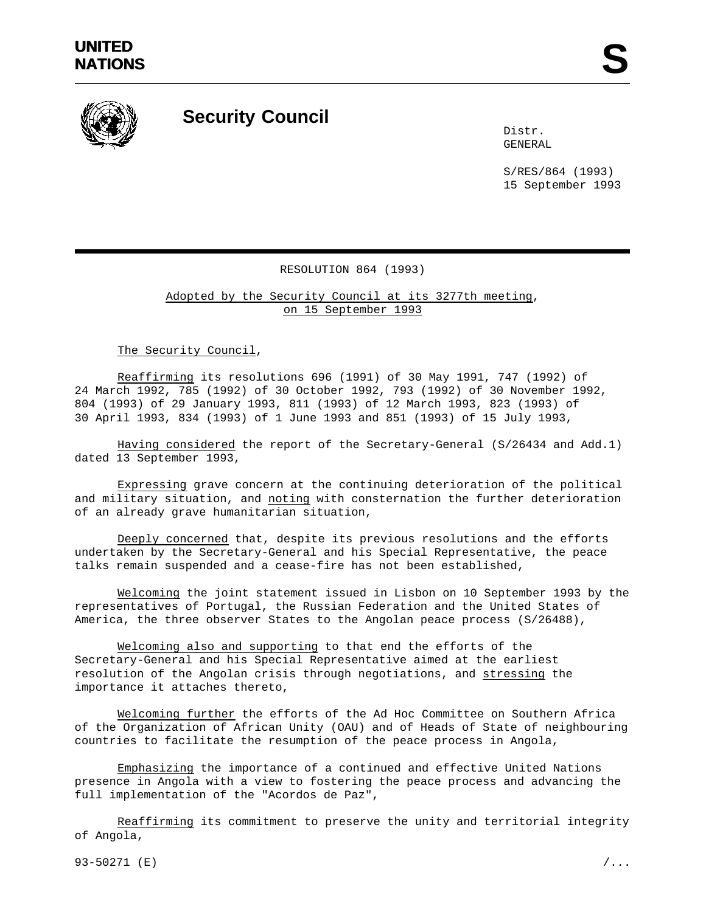

## **Security Council**

Distr. GENERAL

S/RES/864 (1993) 15 September 1993

## RESOLUTION 864 (1993)

Adopted by the Security Council at its 3277th meeting, on 15 September 1993

The Security Council,

Reaffirming its resolutions 696 (1991) of 30 May 1991, 747 (1992) of 24 March 1992, 785 (1992) of 30 October 1992, 793 (1992) of 30 November 1992, 804 (1993) of 29 January 1993, 811 (1993) of 12 March 1993, 823 (1993) of 30 April 1993, 834 (1993) of 1 June 1993 and 851 (1993) of 15 July 1993,

Having considered the report of the Secretary-General (S/26434 and Add.1) dated 13 September 1993,

Expressing grave concern at the continuing deterioration of the political and military situation, and noting with consternation the further deterioration of an already grave humanitarian situation,

Deeply concerned that, despite its previous resolutions and the efforts undertaken by the Secretary-General and his Special Representative, the peace talks remain suspended and a cease-fire has not been established,

Welcoming the joint statement issued in Lisbon on 10 September 1993 by the representatives of Portugal, the Russian Federation and the United States of America, the three observer States to the Angolan peace process (S/26488),

Welcoming also and supporting to that end the efforts of the Secretary-General and his Special Representative aimed at the earliest resolution of the Angolan crisis through negotiations, and stressing the importance it attaches thereto,

Welcoming further the efforts of the Ad Hoc Committee on Southern Africa of the Organization of African Unity (OAU) and of Heads of State of neighbouring countries to facilitate the resumption of the peace process in Angola,

Emphasizing the importance of a continued and effective United Nations presence in Angola with a view to fostering the peace process and advancing the full implementation of the "Acordos de Paz",

Reaffirming its commitment to preserve the unity and territorial integrity of Angola,

93-50271 (E)  $/$ ...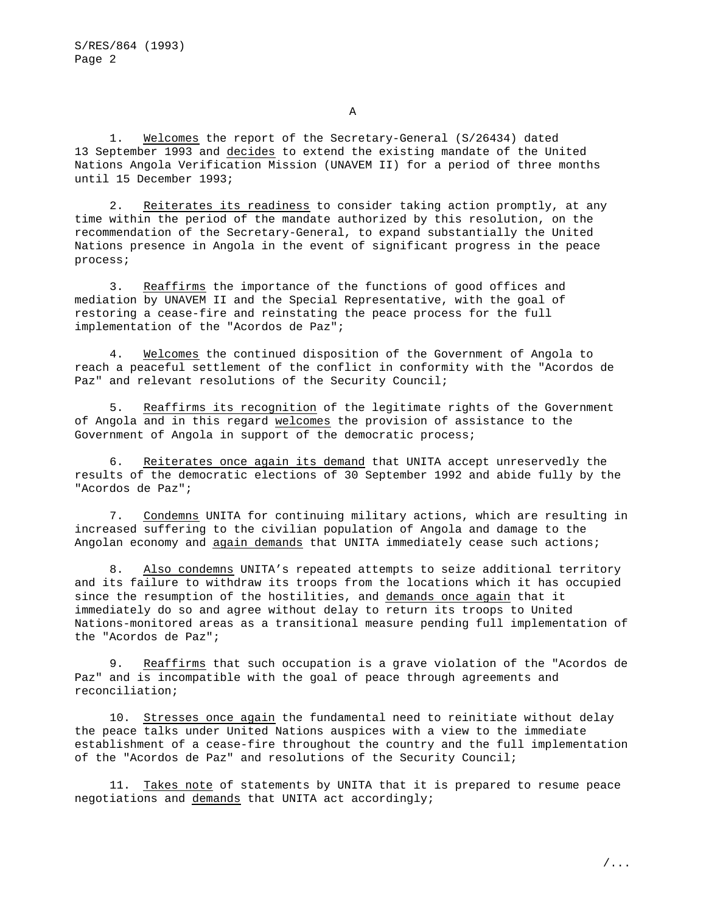1. Welcomes the report of the Secretary-General (S/26434) dated 13 September 1993 and decides to extend the existing mandate of the United Nations Angola Verification Mission (UNAVEM II) for a period of three months until 15 December 1993;

2. Reiterates its readiness to consider taking action promptly, at any time within the period of the mandate authorized by this resolution, on the recommendation of the Secretary-General, to expand substantially the United Nations presence in Angola in the event of significant progress in the peace process;

3. Reaffirms the importance of the functions of good offices and mediation by UNAVEM II and the Special Representative, with the goal of restoring a cease-fire and reinstating the peace process for the full implementation of the "Acordos de Paz";

4. Welcomes the continued disposition of the Government of Angola to reach a peaceful settlement of the conflict in conformity with the "Acordos de Paz" and relevant resolutions of the Security Council;

5. Reaffirms its recognition of the legitimate rights of the Government of Angola and in this regard welcomes the provision of assistance to the Government of Angola in support of the democratic process;

6. Reiterates once again its demand that UNITA accept unreservedly the results of the democratic elections of 30 September 1992 and abide fully by the "Acordos de Paz";

7. Condemns UNITA for continuing military actions, which are resulting in increased suffering to the civilian population of Angola and damage to the Angolan economy and again demands that UNITA immediately cease such actions;

8. Also condemns UNITA's repeated attempts to seize additional territory and its failure to withdraw its troops from the locations which it has occupied since the resumption of the hostilities, and demands once again that it immediately do so and agree without delay to return its troops to United Nations-monitored areas as a transitional measure pending full implementation of the "Acordos de Paz";

9. Reaffirms that such occupation is a grave violation of the "Acordos de Paz" and is incompatible with the goal of peace through agreements and reconciliation;

10. Stresses once again the fundamental need to reinitiate without delay the peace talks under United Nations auspices with a view to the immediate establishment of a cease-fire throughout the country and the full implementation of the "Acordos de Paz" and resolutions of the Security Council;

11. Takes note of statements by UNITA that it is prepared to resume peace negotiations and demands that UNITA act accordingly;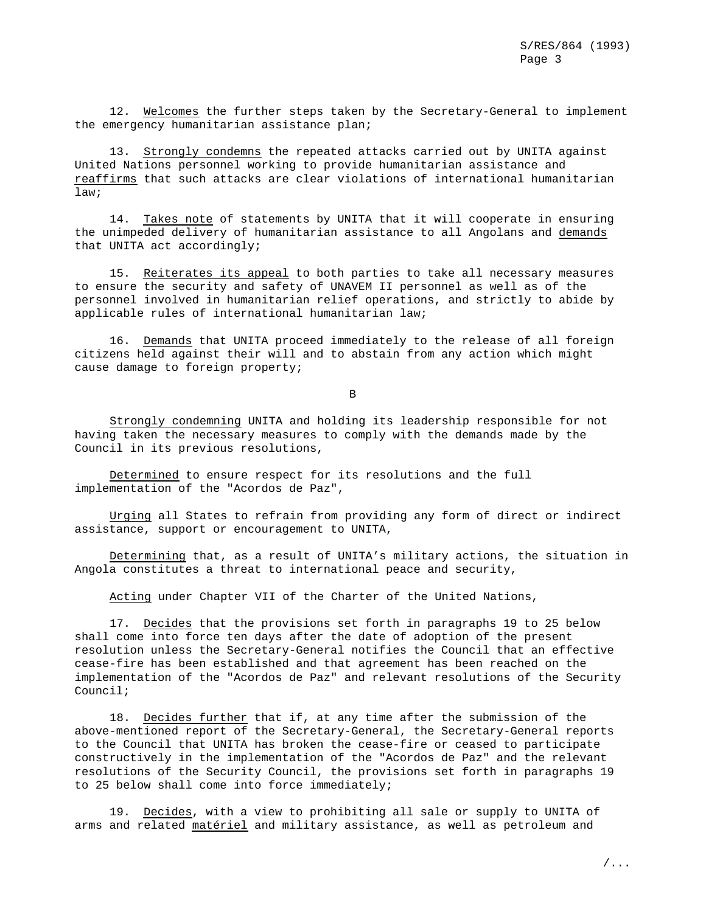12. Welcomes the further steps taken by the Secretary-General to implement the emergency humanitarian assistance plan;

13. Strongly condemns the repeated attacks carried out by UNITA against United Nations personnel working to provide humanitarian assistance and reaffirms that such attacks are clear violations of international humanitarian law;

14. Takes note of statements by UNITA that it will cooperate in ensuring the unimpeded delivery of humanitarian assistance to all Angolans and demands that UNITA act accordingly;

15. Reiterates its appeal to both parties to take all necessary measures to ensure the security and safety of UNAVEM II personnel as well as of the personnel involved in humanitarian relief operations, and strictly to abide by applicable rules of international humanitarian law;

16. Demands that UNITA proceed immediately to the release of all foreign citizens held against their will and to abstain from any action which might cause damage to foreign property;

B

Strongly condemning UNITA and holding its leadership responsible for not having taken the necessary measures to comply with the demands made by the Council in its previous resolutions,

Determined to ensure respect for its resolutions and the full implementation of the "Acordos de Paz",

Urging all States to refrain from providing any form of direct or indirect assistance, support or encouragement to UNITA,

Determining that, as a result of UNITA's military actions, the situation in Angola constitutes a threat to international peace and security,

Acting under Chapter VII of the Charter of the United Nations,

17. Decides that the provisions set forth in paragraphs 19 to 25 below shall come into force ten days after the date of adoption of the present resolution unless the Secretary-General notifies the Council that an effective cease-fire has been established and that agreement has been reached on the implementation of the "Acordos de Paz" and relevant resolutions of the Security Council;

18. Decides further that if, at any time after the submission of the above-mentioned report of the Secretary-General, the Secretary-General reports to the Council that UNITA has broken the cease-fire or ceased to participate constructively in the implementation of the "Acordos de Paz" and the relevant resolutions of the Security Council, the provisions set forth in paragraphs 19 to 25 below shall come into force immediately;

19. Decides, with a view to prohibiting all sale or supply to UNITA of arms and related matériel and military assistance, as well as petroleum and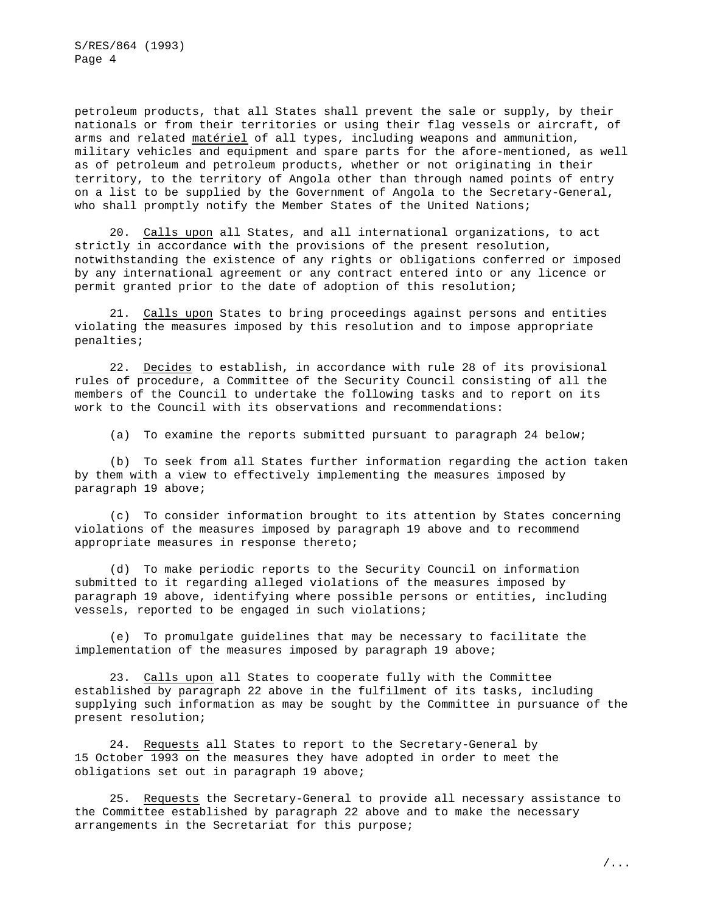S/RES/864 (1993) Page 4

petroleum products, that all States shall prevent the sale or supply, by their nationals or from their territories or using their flag vessels or aircraft, of arms and related matériel of all types, including weapons and ammunition, military vehicles and equipment and spare parts for the afore-mentioned, as well as of petroleum and petroleum products, whether or not originating in their territory, to the territory of Angola other than through named points of entry on a list to be supplied by the Government of Angola to the Secretary-General, who shall promptly notify the Member States of the United Nations;

20. Calls upon all States, and all international organizations, to act strictly in accordance with the provisions of the present resolution, notwithstanding the existence of any rights or obligations conferred or imposed by any international agreement or any contract entered into or any licence or permit granted prior to the date of adoption of this resolution;

21. Calls upon States to bring proceedings against persons and entities violating the measures imposed by this resolution and to impose appropriate penalties;

22. Decides to establish, in accordance with rule 28 of its provisional rules of procedure, a Committee of the Security Council consisting of all the members of the Council to undertake the following tasks and to report on its work to the Council with its observations and recommendations:

(a) To examine the reports submitted pursuant to paragraph 24 below;

(b) To seek from all States further information regarding the action taken by them with a view to effectively implementing the measures imposed by paragraph 19 above;

(c) To consider information brought to its attention by States concerning violations of the measures imposed by paragraph 19 above and to recommend appropriate measures in response thereto;

(d) To make periodic reports to the Security Council on information submitted to it regarding alleged violations of the measures imposed by paragraph 19 above, identifying where possible persons or entities, including vessels, reported to be engaged in such violations;

(e) To promulgate guidelines that may be necessary to facilitate the implementation of the measures imposed by paragraph 19 above;

23. Calls upon all States to cooperate fully with the Committee established by paragraph 22 above in the fulfilment of its tasks, including supplying such information as may be sought by the Committee in pursuance of the present resolution;

24. Requests all States to report to the Secretary-General by 15 October 1993 on the measures they have adopted in order to meet the obligations set out in paragraph 19 above;

25. Requests the Secretary-General to provide all necessary assistance to the Committee established by paragraph 22 above and to make the necessary arrangements in the Secretariat for this purpose;